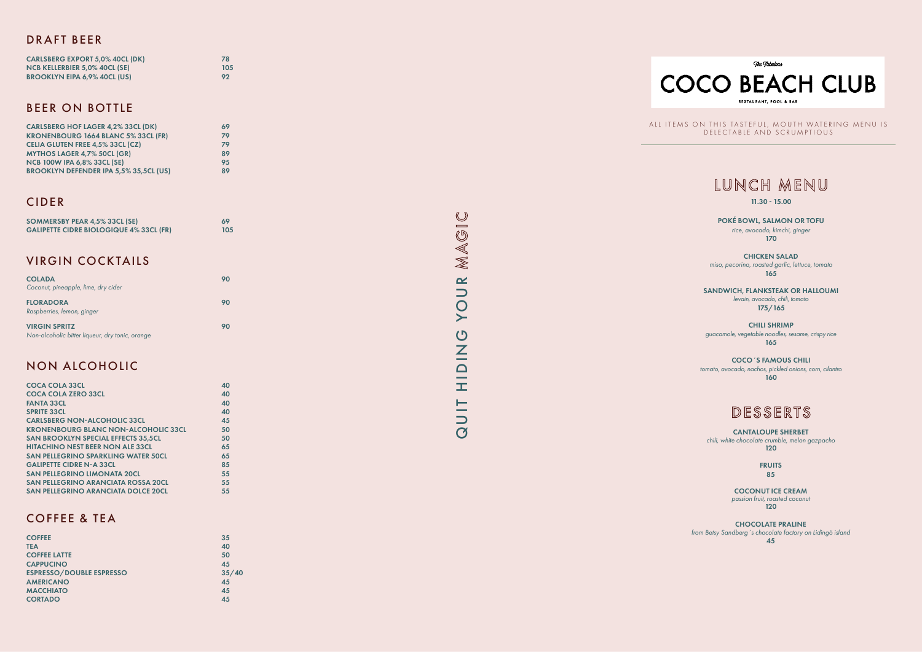ALL ITEMS ON THIS TASTEFUL, MOUTH WATERING MENU IS DELECTABLE AND SCRUMPTIOUS



#### DRAFT BEER

| <b>CARLSBERG EXPORT 5,0% 40CL (DK)</b> | 78  |
|----------------------------------------|-----|
| NCB KELLERBIER 5,0% 40CL (SE)          | 105 |
| <b>BROOKLYN EIPA 6,9% 40CL (US)</b>    | 92  |

#### BEER ON BOTTLE

| <b>CARLSBERG HOF LAGER 4,2% 33CL (DK)</b>     | 69 |
|-----------------------------------------------|----|
| <b>KRONENBOURG 1664 BLANC 5% 33CL (FR)</b>    | 79 |
| <b>CELIA GLUTEN FREE 4,5% 33CL (CZ)</b>       | 79 |
| <b>MYTHOS LAGER 4,7% 50CL (GR)</b>            | 89 |
| <b>NCB 100W IPA 6,8% 33CL (SE)</b>            | 95 |
| <b>BROOKLYN DEFENDER IPA 5,5% 35,5CL (US)</b> | 89 |

#### CIDER

| <b>SOMMERSBY PEAR 4,5% 33CL (SE)</b>           | 69  |
|------------------------------------------------|-----|
| <b>GALIPETTE CIDRE BIOLOGIQUE 4% 33CL (FR)</b> | 105 |

### NON ALCOHOLIC

**FRUITS** 85

COCONUT ICE CREAM *passion fruit, roasted coconut*  $120$ 

| <b>COCA COLA 33CL</b>                       | 40 |
|---------------------------------------------|----|
| <b>COCA COLA ZERO 33CL</b>                  | 40 |
| <b>FANTA 33CL</b>                           | 40 |
| <b>SPRITE 33CL</b>                          | 40 |
| <b>CARLSBERG NON-ALCOHOLIC 33CL</b>         | 45 |
| <b>KRONENBOURG BLANC NON-ALCOHOLIC 33CL</b> | 50 |
| <b>SAN BROOKLYN SPECIAL EFFECTS 35,5CL</b>  | 50 |
| <b>HITACHINO NEST BEER NON ALE 33CL</b>     | 65 |
| <b>SAN PELLEGRINO SPARKLING WATER 50CL</b>  | 65 |
| <b>GALIPETTE CIDRE N-A 33CL</b>             | 85 |
| <b>SAN PELLEGRINO LIMONATA 20CL</b>         | 55 |
| <b>SAN PELLEGRINO ARANCIATA ROSSA 20CL</b>  | 55 |
| <b>SAN PELLEGRINO ARANCIATA DOLCE 20CL</b>  | 55 |

#### COFFEE & TEA

| <b>COFFEE</b>                   | 35    |
|---------------------------------|-------|
| <b>TEA</b>                      | 40    |
| <b>COFFEE LATTE</b>             | 50    |
| <b>CAPPUCINO</b>                | 45    |
| <b>ESPRESSO/DOUBLE ESPRESSO</b> | 35/40 |
| <b>AMERICANO</b>                | 45    |
| <b>MACCHIATO</b>                | 45    |
| <b>CORTADO</b>                  | 45    |

 $\qquad \qquad \underline{\mathbb{C}}$ QUIT HIDING YOUR MAGIC MAGI  $\alpha$  $\overline{O}$  $\blacktriangleright$  $\overline{C}$ HIDIN QUIT

## LUNCH MENU

POKÉ BOWL, SALMON OR TOFU *rice, avocado, kimchi, ginger* 170

CHICKEN SALAD *miso, pecorino, roasted garlic, lettuce, tomato* 165

SANDWICH, FLANKSTEAK OR HALLOUMI *levain, avocado, chili, tomato* 175/165

CHILI SHRIMP *guacamole, vegetable noodles, sesame, crispy rice* 165

COCO´S FAMOUS CHILI *tomato, avocado, nachos, pickled onions, corn, cilantro* 160

11.30 - 15.00

CANTALOUPE SHERBET *chili, white chocolate crumble, melon gazpacho* 120

CHOCOLATE PRALINE *from Betsy Sandberg´s chocolate factory on Lidingö island* 45



#### VIRGIN COCKTAILS

| <b>COLADA</b><br>Coconut, pineapple, lime, dry cider                    | 90 |
|-------------------------------------------------------------------------|----|
| <b>FLORADORA</b><br>Raspberries, lemon, ginger                          | 90 |
| <b>VIRGIN SPRITZ</b><br>Non-alcoholic bitter liqueur, dry tonic, orange | 90 |